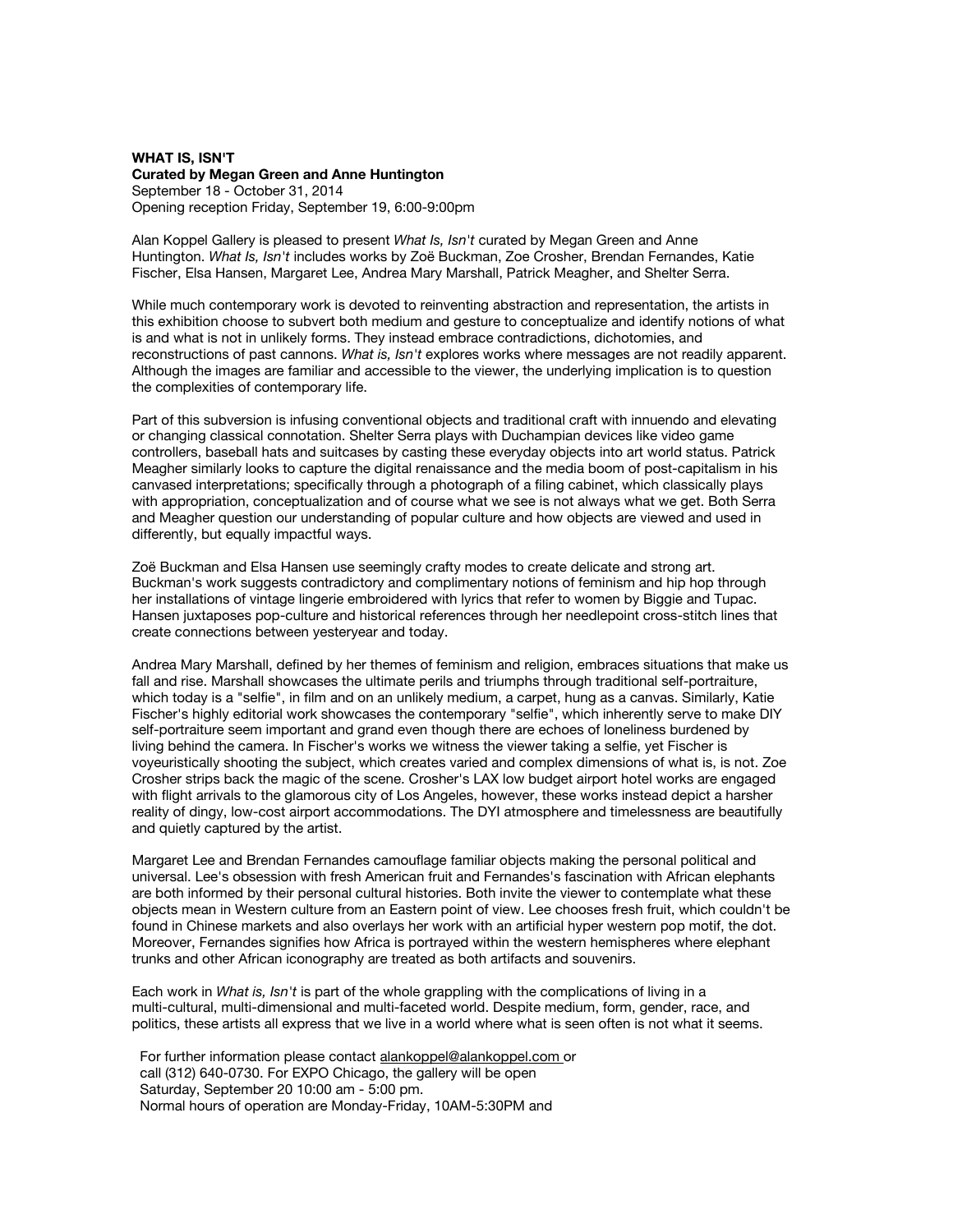## **WHAT IS, ISN'T Curated by Megan Green and Anne Huntington** September 18 - October 31, 2014 Opening reception Friday, September 19, 6:00-9:00pm

Alan Koppel Gallery is pleased to present *What Is, Isn't* curated by Megan Green and Anne Huntington. *What Is, Isn't* includes works by Zoë Buckman, Zoe Crosher, Brendan Fernandes, Katie Fischer, Elsa Hansen, Margaret Lee, Andrea Mary Marshall, Patrick Meagher, and Shelter Serra.

While much contemporary work is devoted to reinventing abstraction and representation, the artists in this exhibition choose to subvert both medium and gesture to conceptualize and identify notions of what is and what is not in unlikely forms. They instead embrace contradictions, dichotomies, and reconstructions of past cannons. *What is, Isn't* explores works where messages are not readily apparent. Although the images are familiar and accessible to the viewer, the underlying implication is to question the complexities of contemporary life.

Part of this subversion is infusing conventional objects and traditional craft with innuendo and elevating or changing classical connotation. Shelter Serra plays with Duchampian devices like video game controllers, baseball hats and suitcases by casting these everyday objects into art world status. Patrick Meagher similarly looks to capture the digital renaissance and the media boom of post-capitalism in his canvased interpretations; specifically through a photograph of a filing cabinet, which classically plays with appropriation, conceptualization and of course what we see is not always what we get. Both Serra and Meagher question our understanding of popular culture and how objects are viewed and used in differently, but equally impactful ways.

Zoë Buckman and Elsa Hansen use seemingly crafty modes to create delicate and strong art. Buckman's work suggests contradictory and complimentary notions of feminism and hip hop through her installations of vintage lingerie embroidered with lyrics that refer to women by Biggie and Tupac. Hansen juxtaposes pop-culture and historical references through her needlepoint cross-stitch lines that create connections between yesteryear and today.

Andrea Mary Marshall, defined by her themes of feminism and religion, embraces situations that make us fall and rise. Marshall showcases the ultimate perils and triumphs through traditional self-portraiture, which today is a "selfie", in film and on an unlikely medium, a carpet, hung as a canvas. Similarly, Katie Fischer's highly editorial work showcases the contemporary "selfie", which inherently serve to make DIY self-portraiture seem important and grand even though there are echoes of loneliness burdened by living behind the camera. In Fischer's works we witness the viewer taking a selfie, yet Fischer is voyeuristically shooting the subject, which creates varied and complex dimensions of what is, is not. Zoe Crosher strips back the magic of the scene. Crosher's LAX low budget airport hotel works are engaged with flight arrivals to the glamorous city of Los Angeles, however, these works instead depict a harsher reality of dingy, low-cost airport accommodations. The DYI atmosphere and timelessness are beautifully and quietly captured by the artist.

Margaret Lee and Brendan Fernandes camouflage familiar objects making the personal political and universal. Lee's obsession with fresh American fruit and Fernandes's fascination with African elephants are both informed by their personal cultural histories. Both invite the viewer to contemplate what these objects mean in Western culture from an Eastern point of view. Lee chooses fresh fruit, which couldn't be found in Chinese markets and also overlays her work with an artificial hyper western pop motif, the dot. Moreover, Fernandes signifies how Africa is portrayed within the western hemispheres where elephant trunks and other African iconography are treated as both artifacts and souvenirs.

Each work in *What is, Isn't* is part of the whole grappling with the complications of living in a multi-cultural, multi-dimensional and multi-faceted world. Despite medium, form, gender, race, and politics, these artists all express that we live in a world where what is seen often is not what it seems.

For further information please contact [alankoppel@alankoppel.com](http://www.google.com/url?q=http%3A%2F%2Fr20.rs6.net%2Ftn.jsp%3Ff%3D0019Iehupb-05ih-m8WcGPkBVIVQtMM8qSE1tdz3-u5XHeuRg4J6d63hHj1G9KIeDT8QaHGY67LCu_2Zw_eDCFalrZOGo21vaR8TGXhuXNppufo1tIGdoGss8-GAyDnHOduqkNxuQGcr8hFTlTua7QZG6aFO5mCyi_GWbzrANlhYwFEHyp_6sW9ow%3D%3D%26c%3DRq0MIBkN3MpSBX0SHZI5cBi3YTlwxTskVpNRrKsHL2J3e-zk2fjciA%3D%3D%26ch%3D151fbJE9m44DEDjjC9LR_KUR0jgWR41NAu8OR4Fc3clMkTCZMct05g%3D%3D&sa=D&sntz=1&usg=AFQjCNEtQke8d_1CxeQnuzAN8SWClT0qrQ) or call (312) 640-0730. For EXPO Chicago, the gallery will be open Saturday, September 20 10:00 am - 5:00 pm. Normal hours of operation are Monday-Friday, 10AM-5:30PM and